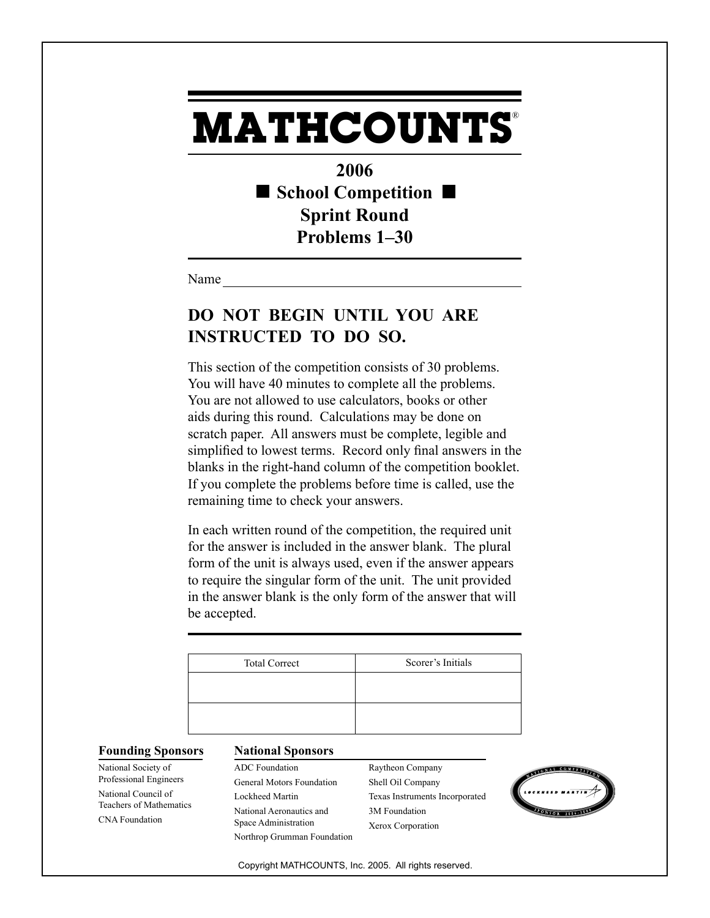## **MATHCOUNTS** ®

**2006 School Competition Sprint Round Problems 1–30**

Name

## **DO NOT BEGIN UNTIL YOU ARE INSTRUCTED TO DO SO.**

This section of the competition consists of 30 problems. You will have 40 minutes to complete all the problems. You are not allowed to use calculators, books or other aids during this round. Calculations may be done on scratch paper. All answers must be complete, legible and simplified to lowest terms. Record only final answers in the blanks in the right-hand column of the competition booklet. If you complete the problems before time is called, use the remaining time to check your answers.

In each written round of the competition, the required unit for the answer is included in the answer blank. The plural form of the unit is always used, even if the answer appears to require the singular form of the unit. The unit provided in the answer blank is the only form of the answer that will be accepted.

| <b>Total Correct</b> | Scorer's Initials |
|----------------------|-------------------|
|                      |                   |
|                      |                   |
|                      |                   |

## **Founding Sponsors National Sponsors**

National Society of Professional Engineers National Council of Teachers of Mathematics CNA Foundation

ADC Foundation General Motors Foundation Lockheed Martin National Aeronautics and Space Administration Northrop Grumman Foundation Raytheon Company Shell Oil Company Texas Instruments Incorporated 3M Foundation Xerox Corporation



Copyright MATHCOUNTS, Inc. 2005. All rights reserved.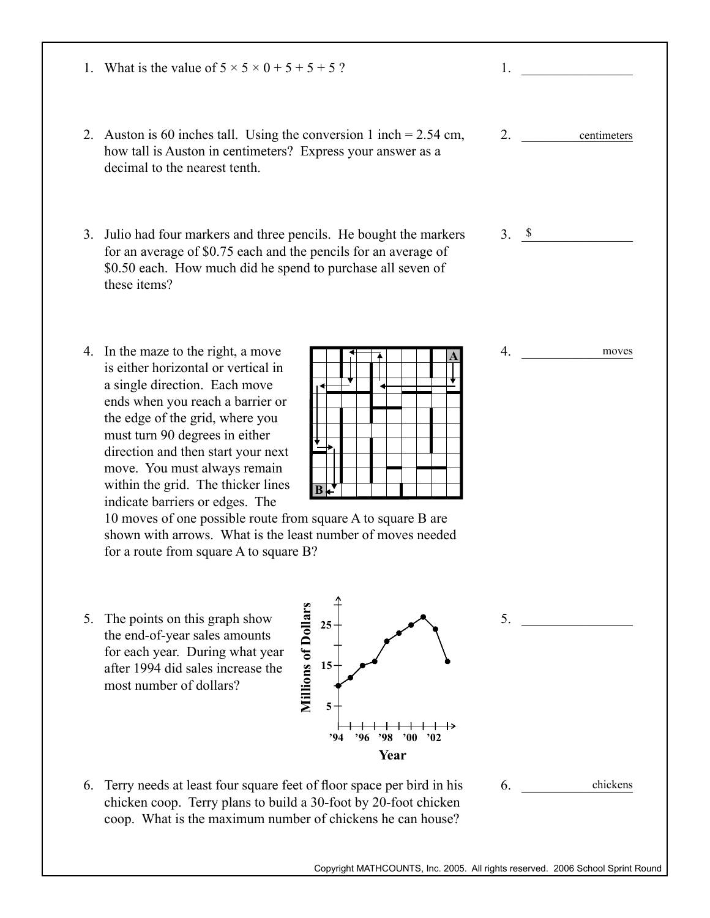- 1. What is the value of  $5 \times 5 \times 0 + 5 + 5 + 5$ ?
- 2. Auston is 60 inches tall. Using the conversion 1 inch  $= 2.54$  cm, how tall is Auston in centimeters? Express your answer as a decimal to the nearest tenth.
- 3. Julio had four markers and three pencils. He bought the markers for an average of \$0.75 each and the pencils for an average of \$0.50 each. How much did he spend to purchase all seven of these items?
- 4. In the maze to the right, a move is either horizontal or vertical in a single direction. Each move ends when you reach a barrier or the edge of the grid, where you must turn 90 degrees in either direction and then start your next move. You must always remain within the grid. The thicker lines indicate barriers or edges. The

| ¢ |  |  |
|---|--|--|

**Year**

**'94 '96 '98 '00 '02**

10 moves of one possible route from square A to square B are shown with arrows. What is the least number of moves needed for a route from square A to square B?

**Millions of Dollars**

**Millions of Dollars** 

**5**

**15**

**25**

5. The points on this graph show the end-of-year sales amounts for each year. During what year after 1994 did sales increase the most number of dollars?



 $3. \quad \frac{\$}{ }$ 

2. \_\_\_\_\_\_\_\_\_\_\_\_\_\_\_\_ centimeters

1. \_\_\_\_\_\_\_\_\_\_\_\_\_\_\_\_

 $4.$ moves

 $5.$ 

 $6.$ chickens

Copyright MATHCOUNTS, Inc. 2005. All rights reserved. 2006 School Sprint Round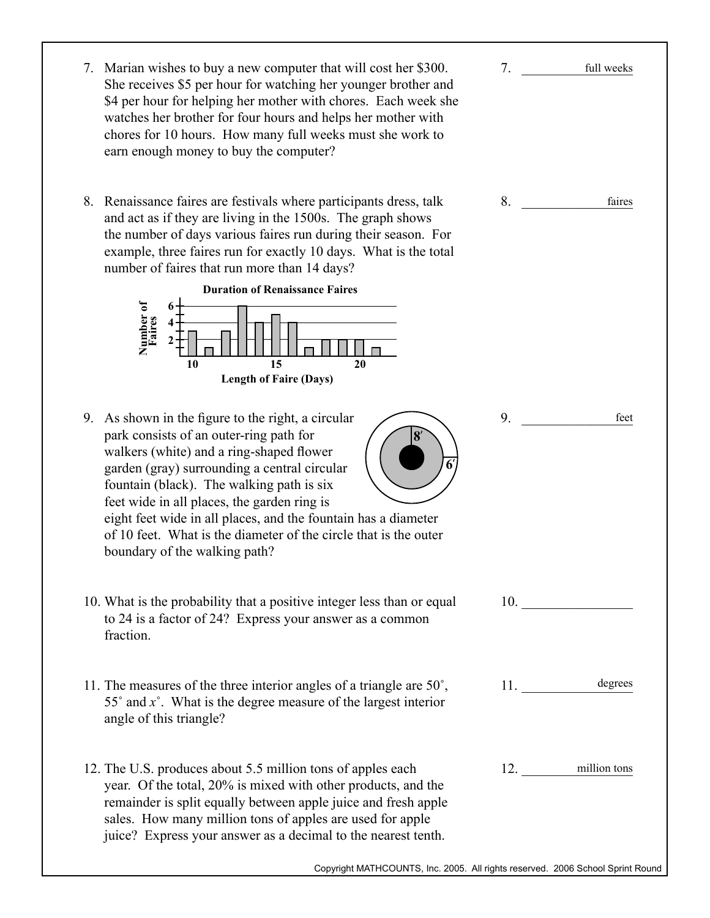| 7. Marian wishes to buy a new computer that will cost her \$300.<br>She receives \$5 per hour for watching her younger brother and<br>\$4 per hour for helping her mother with chores. Each week she<br>watches her brother for four hours and helps her mother with<br>chores for 10 hours. How many full weeks must she work to<br>earn enough money to buy the computer?                                                                                     | 7. | full weeks       |
|-----------------------------------------------------------------------------------------------------------------------------------------------------------------------------------------------------------------------------------------------------------------------------------------------------------------------------------------------------------------------------------------------------------------------------------------------------------------|----|------------------|
| 8. Renaissance faires are festivals where participants dress, talk<br>and act as if they are living in the 1500s. The graph shows<br>the number of days various faires run during their season. For<br>example, three faires run for exactly 10 days. What is the total<br>number of faires that run more than 14 days?<br><b>Duration of Renaissance Faires</b>                                                                                                | 8. | faires           |
| Number of<br>Faires<br>15<br>10<br>20<br><b>Length of Faire (Days)</b>                                                                                                                                                                                                                                                                                                                                                                                          |    |                  |
| As shown in the figure to the right, a circular<br>9.<br>park consists of an outer-ring path for<br>walkers (white) and a ring-shaped flower<br>garden (gray) surrounding a central circular<br>fountain (black). The walking path is six<br>feet wide in all places, the garden ring is<br>eight feet wide in all places, and the fountain has a diameter<br>of 10 feet. What is the diameter of the circle that is the outer<br>boundary of the walking path? | 9. | feet             |
| 10. What is the probability that a positive integer less than or equal<br>to 24 is a factor of 24? Express your answer as a common<br>fraction.                                                                                                                                                                                                                                                                                                                 |    | 10.              |
| 11. The measures of the three interior angles of a triangle are $50^{\circ}$ ,<br>55 $^{\circ}$ and $x^{\circ}$ . What is the degree measure of the largest interior<br>angle of this triangle?                                                                                                                                                                                                                                                                 |    | 11. degrees      |
| 12. The U.S. produces about 5.5 million tons of apples each<br>year. Of the total, 20% is mixed with other products, and the<br>remainder is split equally between apple juice and fresh apple<br>sales. How many million tons of apples are used for apple<br>juice? Express your answer as a decimal to the nearest tenth.                                                                                                                                    |    | 12. million tons |
| Copyright MATHCOUNTS, Inc. 2005. All rights reserved. 2006 School Sprint Round                                                                                                                                                                                                                                                                                                                                                                                  |    |                  |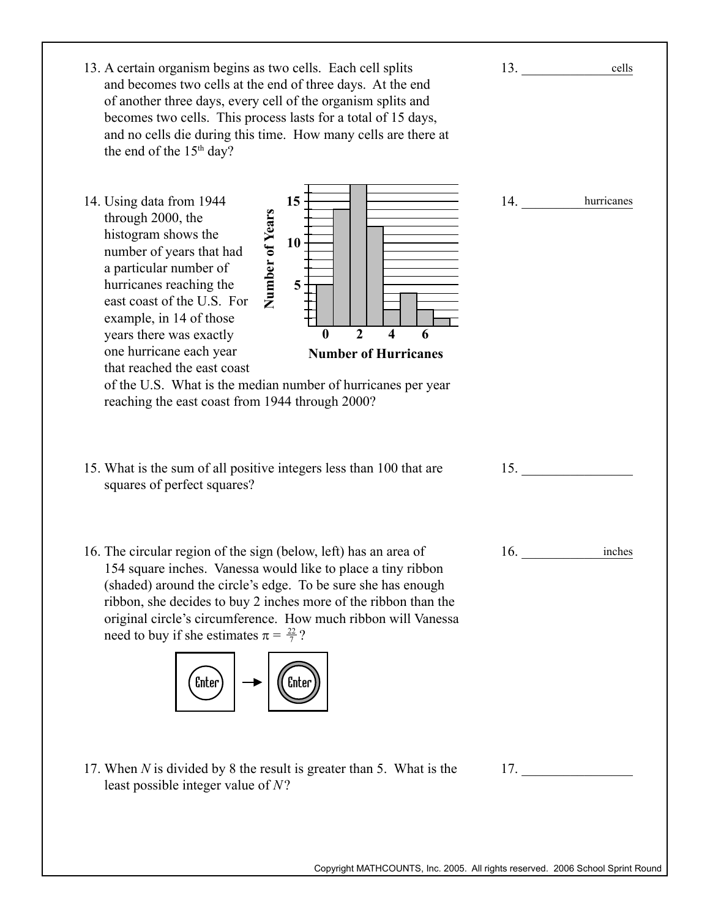| 13. A certain organism begins as two cells. Each cell splits<br>and becomes two cells at the end of three days. At the end<br>of another three days, every cell of the organism splits and<br>becomes two cells. This process lasts for a total of 15 days,<br>and no cells die during this time. How many cells are there at<br>the end of the $15th$ day?                                                                                                                                                 | 13. | cells      |
|-------------------------------------------------------------------------------------------------------------------------------------------------------------------------------------------------------------------------------------------------------------------------------------------------------------------------------------------------------------------------------------------------------------------------------------------------------------------------------------------------------------|-----|------------|
| 15<br>14. Using data from 1944<br>Number of Years<br>through 2000, the<br>histogram shows the<br>10<br>number of years that had<br>a particular number of<br>5<br>hurricanes reaching the<br>east coast of the U.S. For<br>example, in 14 of those<br>$\overline{2}$<br>$\boldsymbol{\Lambda}$<br>$\boldsymbol{0}$<br>years there was exactly<br>6<br>one hurricane each year<br><b>Number of Hurricanes</b><br>that reached the east coast<br>of the U.S. What is the median number of hurricanes per year | 14. | hurricanes |
| reaching the east coast from 1944 through 2000?                                                                                                                                                                                                                                                                                                                                                                                                                                                             |     |            |
| 15. What is the sum of all positive integers less than 100 that are<br>squares of perfect squares?                                                                                                                                                                                                                                                                                                                                                                                                          |     | 15.        |
| 16. The circular region of the sign (below, left) has an area of<br>154 square inches. Vanessa would like to place a tiny ribbon<br>(shaded) around the circle's edge. To be sure she has enough<br>ribbon, she decides to buy 2 inches more of the ribbon than the<br>original circle's circumference. How much ribbon will Vanessa<br>need to buy if she estimates $\pi = \frac{22}{7}$ ?<br>$(\text{Enter})$<br><b>Enter</b>                                                                             | 16. | inches     |
| 17. When $N$ is divided by 8 the result is greater than 5. What is the<br>least possible integer value of $N$ ?                                                                                                                                                                                                                                                                                                                                                                                             |     | 17.        |
|                                                                                                                                                                                                                                                                                                                                                                                                                                                                                                             |     |            |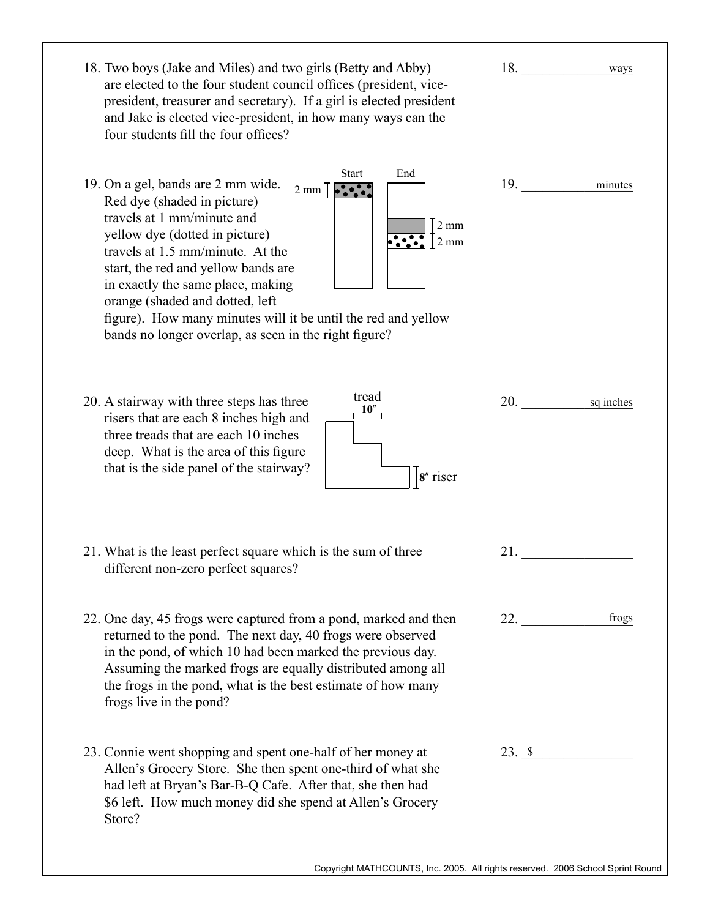| 18. Two boys (Jake and Miles) and two girls (Betty and Abby)<br>are elected to the four student council offices (president, vice-<br>president, treasurer and secretary). If a girl is elected president<br>and Jake is elected vice-president, in how many ways can the<br>four students fill the four offices?                                                                                                                                                                                                         | 18.<br>ways                                                                                                                                                                                                                                      |
|--------------------------------------------------------------------------------------------------------------------------------------------------------------------------------------------------------------------------------------------------------------------------------------------------------------------------------------------------------------------------------------------------------------------------------------------------------------------------------------------------------------------------|--------------------------------------------------------------------------------------------------------------------------------------------------------------------------------------------------------------------------------------------------|
| End<br><b>Start</b><br>19. On a gel, bands are 2 mm wide.<br>$2 \text{ mm}$ $\sqrt{\frac{2}{2} \cdot \frac{1}{2}}$<br>Red dye (shaded in picture)<br>travels at 1 mm/minute and<br>$2 \text{ mm}$<br>yellow dye (dotted in picture)<br>2 mm<br>travels at 1.5 mm/minute. At the<br>start, the red and yellow bands are<br>in exactly the same place, making<br>orange (shaded and dotted, left<br>figure). How many minutes will it be until the red and yellow<br>bands no longer overlap, as seen in the right figure? | 19.<br>minutes                                                                                                                                                                                                                                   |
| tread<br>20. A stairway with three steps has three<br>10''<br>risers that are each 8 inches high and<br>three treads that are each 10 inches<br>deep. What is the area of this figure<br>that is the side panel of the stairway?<br>8" riser                                                                                                                                                                                                                                                                             | <b>20.</b> The contract of the contract of the contract of the contract of the contract of the contract of the contract of the contract of the contract of the contract of the contract of the contract of the contract of the cont<br>sq inches |
| 21. What is the least perfect square which is the sum of three<br>different non-zero perfect squares?                                                                                                                                                                                                                                                                                                                                                                                                                    | 21.                                                                                                                                                                                                                                              |
| 22. One day, 45 frogs were captured from a pond, marked and then<br>returned to the pond. The next day, 40 frogs were observed<br>in the pond, of which 10 had been marked the previous day.<br>Assuming the marked frogs are equally distributed among all<br>the frogs in the pond, what is the best estimate of how many<br>frogs live in the pond?                                                                                                                                                                   | 22.<br>frogs                                                                                                                                                                                                                                     |
| 23. Connie went shopping and spent one-half of her money at<br>Allen's Grocery Store. She then spent one-third of what she<br>had left at Bryan's Bar-B-Q Cafe. After that, she then had<br>\$6 left. How much money did she spend at Allen's Grocery<br>Store?                                                                                                                                                                                                                                                          | $23. \underline{\hspace{1.5cm}} 8$                                                                                                                                                                                                               |
|                                                                                                                                                                                                                                                                                                                                                                                                                                                                                                                          | Copyright MATHCOUNTS, Inc. 2005. All rights reserved. 2006 School Sprint Round                                                                                                                                                                   |